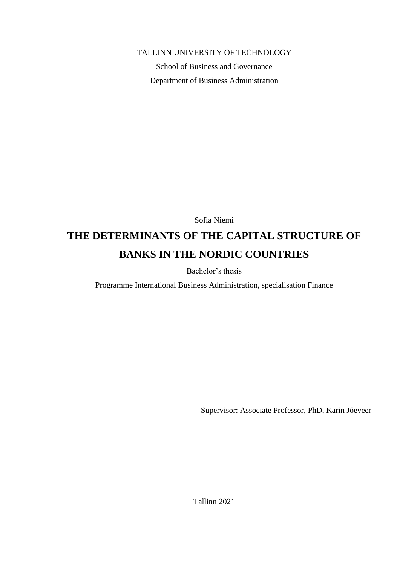### TALLINN UNIVERSITY OF TECHNOLOGY

School of Business and Governance Department of Business Administration

Sofia Niemi

# **THE DETERMINANTS OF THE CAPITAL STRUCTURE OF BANKS IN THE NORDIC COUNTRIES**

Bachelor's thesis

Programme International Business Administration, specialisation Finance

Supervisor: Associate Professor, PhD, Karin Jõeveer

Tallinn 2021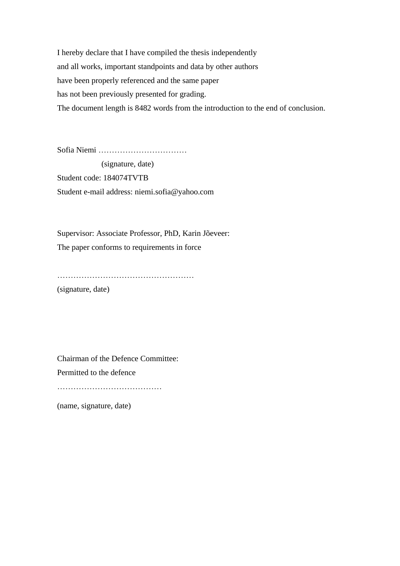I hereby declare that I have compiled the thesis independently and all works, important standpoints and data by other authors have been properly referenced and the same paper has not been previously presented for grading. The document length is 8482 words from the introduction to the end of conclusion.

Sofia Niemi ……………………………

 (signature, date) Student code: 184074TVTB Student e-mail address: niemi.sofia@yahoo.com

Supervisor: Associate Professor, PhD, Karin Jõeveer: The paper conforms to requirements in force

…………………………………………… (signature, date)

Chairman of the Defence Committee: Permitted to the defence

…………………………………

(name, signature, date)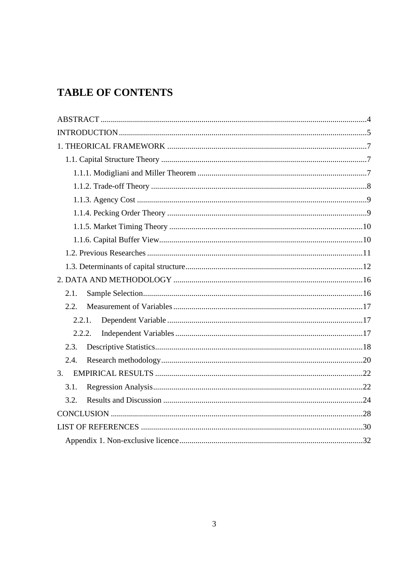# **TABLE OF CONTENTS**

| 2.1.   |  |
|--------|--|
| 2.2.   |  |
| 2.2.1. |  |
| 2.2.2. |  |
| 2.3.   |  |
| 2.4.   |  |
| 3.     |  |
| 3.1.   |  |
| 3.2.   |  |
|        |  |
|        |  |
|        |  |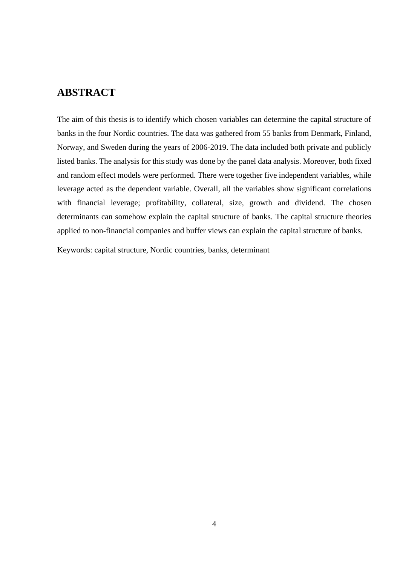# <span id="page-3-0"></span>**ABSTRACT**

The aim of this thesis is to identify which chosen variables can determine the capital structure of banks in the four Nordic countries. The data was gathered from 55 banks from Denmark, Finland, Norway, and Sweden during the years of 2006-2019. The data included both private and publicly listed banks. The analysis for this study was done by the panel data analysis. Moreover, both fixed and random effect models were performed. There were together five independent variables, while leverage acted as the dependent variable. Overall, all the variables show significant correlations with financial leverage; profitability, collateral, size, growth and dividend. The chosen determinants can somehow explain the capital structure of banks. The capital structure theories applied to non-financial companies and buffer views can explain the capital structure of banks.

Keywords: capital structure, Nordic countries, banks, determinant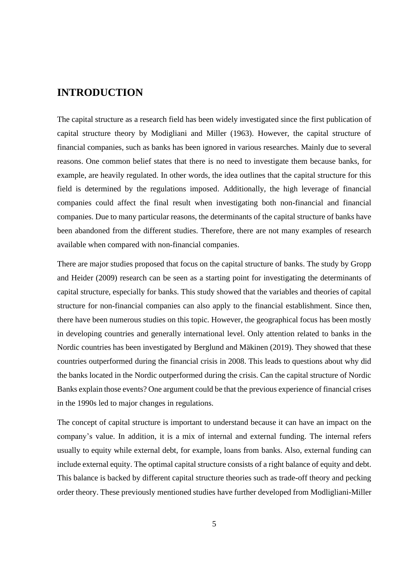# <span id="page-4-0"></span>**INTRODUCTION**

The capital structure as a research field has been widely investigated since the first publication of capital structure theory by Modigliani and Miller (1963). However, the capital structure of financial companies, such as banks has been ignored in various researches. Mainly due to several reasons. One common belief states that there is no need to investigate them because banks, for example, are heavily regulated. In other words, the idea outlines that the capital structure for this field is determined by the regulations imposed. Additionally, the high leverage of financial companies could affect the final result when investigating both non-financial and financial companies. Due to many particular reasons, the determinants of the capital structure of banks have been abandoned from the different studies. Therefore, there are not many examples of research available when compared with non-financial companies.

There are major studies proposed that focus on the capital structure of banks. The study by Gropp and Heider (2009) research can be seen as a starting point for investigating the determinants of capital structure, especially for banks. This study showed that the variables and theories of capital structure for non-financial companies can also apply to the financial establishment. Since then, there have been numerous studies on this topic. However, the geographical focus has been mostly in developing countries and generally international level. Only attention related to banks in the Nordic countries has been investigated by Berglund and Mäkinen (2019). They showed that these countries outperformed during the financial crisis in 2008. This leads to questions about why did the banks located in the Nordic outperformed during the crisis. Can the capital structure of Nordic Banks explain those events? One argument could be that the previous experience of financial crises in the 1990s led to major changes in regulations.

The concept of capital structure is important to understand because it can have an impact on the company's value. In addition, it is a mix of internal and external funding. The internal refers usually to equity while external debt, for example, loans from banks. Also, external funding can include external equity. The optimal capital structure consists of a right balance of equity and debt. This balance is backed by different capital structure theories such as trade-off theory and pecking order theory. These previously mentioned studies have further developed from Modligliani-Miller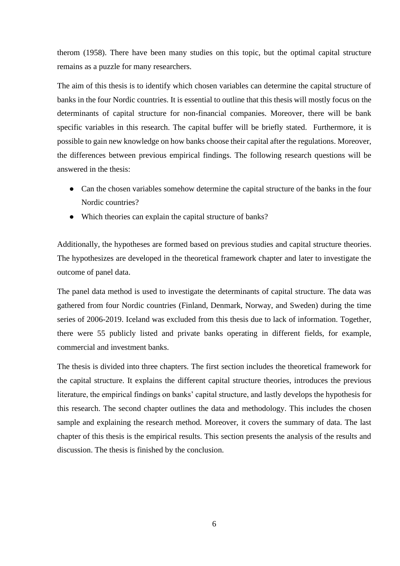therom (1958). There have been many studies on this topic, but the optimal capital structure remains as a puzzle for many researchers.

The aim of this thesis is to identify which chosen variables can determine the capital structure of banks in the four Nordic countries. It is essential to outline that this thesis will mostly focus on the determinants of capital structure for non-financial companies. Moreover, there will be bank specific variables in this research. The capital buffer will be briefly stated. Furthermore, it is possible to gain new knowledge on how banks choose their capital after the regulations. Moreover, the differences between previous empirical findings. The following research questions will be answered in the thesis:

- Can the chosen variables somehow determine the capital structure of the banks in the four Nordic countries?
- Which theories can explain the capital structure of banks?

Additionally, the hypotheses are formed based on previous studies and capital structure theories. The hypothesizes are developed in the theoretical framework chapter and later to investigate the outcome of panel data.

The panel data method is used to investigate the determinants of capital structure. The data was gathered from four Nordic countries (Finland, Denmark, Norway, and Sweden) during the time series of 2006-2019. Iceland was excluded from this thesis due to lack of information. Together, there were 55 publicly listed and private banks operating in different fields, for example, commercial and investment banks.

The thesis is divided into three chapters. The first section includes the theoretical framework for the capital structure. It explains the different capital structure theories, introduces the previous literature, the empirical findings on banks' capital structure, and lastly develops the hypothesis for this research. The second chapter outlines the data and methodology. This includes the chosen sample and explaining the research method. Moreover, it covers the summary of data. The last chapter of this thesis is the empirical results. This section presents the analysis of the results and discussion. The thesis is finished by the conclusion.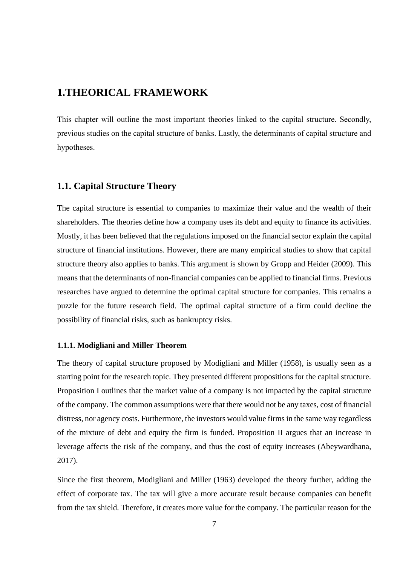# <span id="page-6-0"></span>**1.THEORICAL FRAMEWORK**

This chapter will outline the most important theories linked to the capital structure. Secondly, previous studies on the capital structure of banks. Lastly, the determinants of capital structure and hypotheses.

### <span id="page-6-1"></span>**1.1. Capital Structure Theory**

The capital structure is essential to companies to maximize their value and the wealth of their shareholders. The theories define how a company uses its debt and equity to finance its activities. Mostly, it has been believed that the regulations imposed on the financial sector explain the capital structure of financial institutions. However, there are many empirical studies to show that capital structure theory also applies to banks. This argument is shown by Gropp and Heider (2009). This means that the determinants of non-financial companies can be applied to financial firms. Previous researches have argued to determine the optimal capital structure for companies. This remains a puzzle for the future research field. The optimal capital structure of a firm could decline the possibility of financial risks, such as bankruptcy risks.

#### <span id="page-6-2"></span>**1.1.1. Modigliani and Miller Theorem**

The theory of capital structure proposed by Modigliani and Miller (1958), is usually seen as a starting point for the research topic. They presented different propositions for the capital structure. Proposition I outlines that the market value of a company is not impacted by the capital structure of the company. The common assumptions were that there would not be any taxes, cost of financial distress, nor agency costs. Furthermore, the investors would value firms in the same way regardless of the mixture of debt and equity the firm is funded. Proposition II argues that an increase in leverage affects the risk of the company, and thus the cost of equity increases (Abeywardhana, 2017).

Since the first theorem, Modigliani and Miller (1963) developed the theory further, adding the effect of corporate tax. The tax will give a more accurate result because companies can benefit from the tax shield. Therefore, it creates more value for the company. The particular reason for the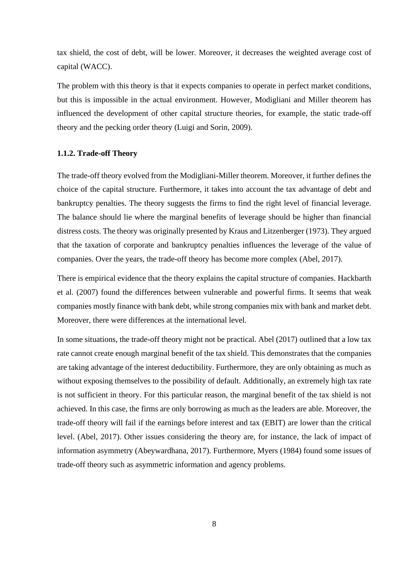tax shield, the cost of debt, will be lower. Moreover, it decreases the weighted average cost of capital (WACC).

The problem with this theory is that it expects companies to operate in perfect market conditions, but this is impossible in the actual environment. However, Modigliani and Miller theorem has influenced the development of other capital structure theories, for example, the static trade-off theory and the pecking order theory (Luigi and Sorin, 2009).

#### <span id="page-7-0"></span>**1.1.2. Trade-off Theory**

The trade-off theory evolved from the Modigliani-Miller theorem. Moreover, it further defines the choice of the capital structure. Furthermore, it takes into account the tax advantage of debt and bankruptcy penalties. The theory suggests the firms to find the right level of financial leverage. The balance should lie where the marginal benefits of leverage should be higher than financial distress costs. The theory was originally presented by Kraus and Litzenberger (1973). They argued that the taxation of corporate and bankruptcy penalties influences the leverage of the value of companies. Over the years, the trade-off theory has become more complex (Abel, 2017).

There is empirical evidence that the theory explains the capital structure of companies. Hackbarth et al. (2007) found the differences between vulnerable and powerful firms. It seems that weak companies mostly finance with bank debt, while strong companies mix with bank and market debt. Moreover, there were differences at the international level.

In some situations, the trade-off theory might not be practical. Abel (2017) outlined that a low tax rate cannot create enough marginal benefit of the tax shield. This demonstrates that the companies are taking advantage of the interest deductibility. Furthermore, they are only obtaining as much as without exposing themselves to the possibility of default. Additionally, an extremely high tax rate is not sufficient in theory. For this particular reason, the marginal benefit of the tax shield is not achieved. In this case, the firms are only borrowing as much as the leaders are able. Moreover, the trade-off theory will fail if the earnings before interest and tax (EBIT) are lower than the critical level. (Abel, 2017). Other issues considering the theory are, for instance, the lack of impact of information asymmetry (Abeywardhana, 2017). Furthermore, Myers (1984) found some issues of trade-off theory such as asymmetric information and agency problems.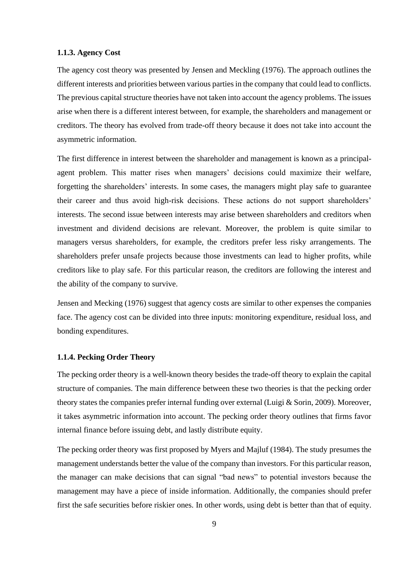#### <span id="page-8-0"></span>**1.1.3. Agency Cost**

The agency cost theory was presented by Jensen and Meckling (1976). The approach outlines the different interests and priorities between various parties in the company that could lead to conflicts. The previous capital structure theories have not taken into account the agency problems. The issues arise when there is a different interest between, for example, the shareholders and management or creditors. The theory has evolved from trade-off theory because it does not take into account the asymmetric information.

The first difference in interest between the shareholder and management is known as a principalagent problem. This matter rises when managers' decisions could maximize their welfare, forgetting the shareholders' interests. In some cases, the managers might play safe to guarantee their career and thus avoid high-risk decisions. These actions do not support shareholders' interests. The second issue between interests may arise between shareholders and creditors when investment and dividend decisions are relevant. Moreover, the problem is quite similar to managers versus shareholders, for example, the creditors prefer less risky arrangements. The shareholders prefer unsafe projects because those investments can lead to higher profits, while creditors like to play safe. For this particular reason, the creditors are following the interest and the ability of the company to survive.

Jensen and Mecking (1976) suggest that agency costs are similar to other expenses the companies face. The agency cost can be divided into three inputs: monitoring expenditure, residual loss, and bonding expenditures.

#### <span id="page-8-1"></span>**1.1.4. Pecking Order Theory**

The pecking order theory is a well-known theory besides the trade-off theory to explain the capital structure of companies. The main difference between these two theories is that the pecking order theory states the companies prefer internal funding over external (Luigi & Sorin, 2009). Moreover, it takes asymmetric information into account. The pecking order theory outlines that firms favor internal finance before issuing debt, and lastly distribute equity.

The pecking order theory was first proposed by Myers and Majluf (1984). The study presumes the management understands better the value of the company than investors. For this particular reason, the manager can make decisions that can signal "bad news" to potential investors because the management may have a piece of inside information. Additionally, the companies should prefer first the safe securities before riskier ones. In other words, using debt is better than that of equity.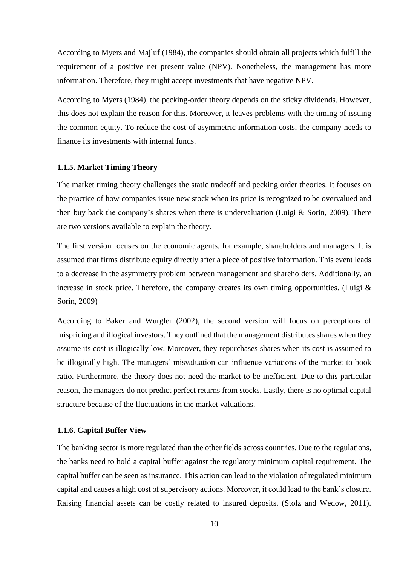According to Myers and Majluf (1984), the companies should obtain all projects which fulfill the requirement of a positive net present value (NPV). Nonetheless, the management has more information. Therefore, they might accept investments that have negative NPV.

According to Myers (1984), the pecking-order theory depends on the sticky dividends. However, this does not explain the reason for this. Moreover, it leaves problems with the timing of issuing the common equity. To reduce the cost of asymmetric information costs, the company needs to finance its investments with internal funds.

#### <span id="page-9-0"></span>**1.1.5. Market Timing Theory**

The market timing theory challenges the static tradeoff and pecking order theories. It focuses on the practice of how companies issue new stock when its price is recognized to be overvalued and then buy back the company's shares when there is undervaluation (Luigi  $&$  Sorin, 2009). There are two versions available to explain the theory.

The first version focuses on the economic agents, for example, shareholders and managers. It is assumed that firms distribute equity directly after a piece of positive information. This event leads to a decrease in the asymmetry problem between management and shareholders. Additionally, an increase in stock price. Therefore, the company creates its own timing opportunities. (Luigi  $\&$ Sorin, 2009)

According to Baker and Wurgler (2002), the second version will focus on perceptions of mispricing and illogical investors. They outlined that the management distributes shares when they assume its cost is illogically low. Moreover, they repurchases shares when its cost is assumed to be illogically high. The managers' misvaluation can influence variations of the market-to-book ratio. Furthermore, the theory does not need the market to be inefficient. Due to this particular reason, the managers do not predict perfect returns from stocks. Lastly, there is no optimal capital structure because of the fluctuations in the market valuations.

#### <span id="page-9-1"></span>**1.1.6. Capital Buffer View**

The banking sector is more regulated than the other fields across countries. Due to the regulations, the banks need to hold a capital buffer against the regulatory minimum capital requirement. The capital buffer can be seen as insurance. This action can lead to the violation of regulated minimum capital and causes a high cost of supervisory actions. Moreover, it could lead to the bank's closure. Raising financial assets can be costly related to insured deposits. (Stolz and Wedow, 2011).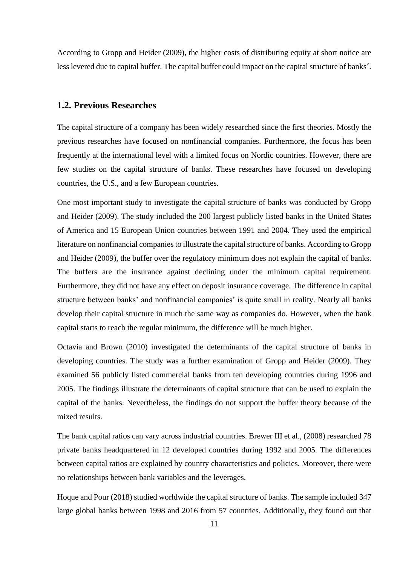According to Gropp and Heider (2009), the higher costs of distributing equity at short notice are less levered due to capital buffer. The capital buffer could impact on the capital structure of banks´.

#### <span id="page-10-0"></span>**1.2. Previous Researches**

The capital structure of a company has been widely researched since the first theories. Mostly the previous researches have focused on nonfinancial companies. Furthermore, the focus has been frequently at the international level with a limited focus on Nordic countries. However, there are few studies on the capital structure of banks. These researches have focused on developing countries, the U.S., and a few European countries.

One most important study to investigate the capital structure of banks was conducted by Gropp and Heider (2009). The study included the 200 largest publicly listed banks in the United States of America and 15 European Union countries between 1991 and 2004. They used the empirical literature on nonfinancial companies to illustrate the capital structure of banks. According to Gropp and Heider (2009), the buffer over the regulatory minimum does not explain the capital of banks. The buffers are the insurance against declining under the minimum capital requirement. Furthermore, they did not have any effect on deposit insurance coverage. The difference in capital structure between banks' and nonfinancial companies' is quite small in reality. Nearly all banks develop their capital structure in much the same way as companies do. However, when the bank capital starts to reach the regular minimum, the difference will be much higher.

Octavia and Brown (2010) investigated the determinants of the capital structure of banks in developing countries. The study was a further examination of Gropp and Heider (2009). They examined 56 publicly listed commercial banks from ten developing countries during 1996 and 2005. The findings illustrate the determinants of capital structure that can be used to explain the capital of the banks. Nevertheless, the findings do not support the buffer theory because of the mixed results.

The bank capital ratios can vary across industrial countries. Brewer III et al., (2008) researched 78 private banks headquartered in 12 developed countries during 1992 and 2005. The differences between capital ratios are explained by country characteristics and policies. Moreover, there were no relationships between bank variables and the leverages.

Hoque and Pour (2018) studied worldwide the capital structure of banks. The sample included 347 large global banks between 1998 and 2016 from 57 countries. Additionally, they found out that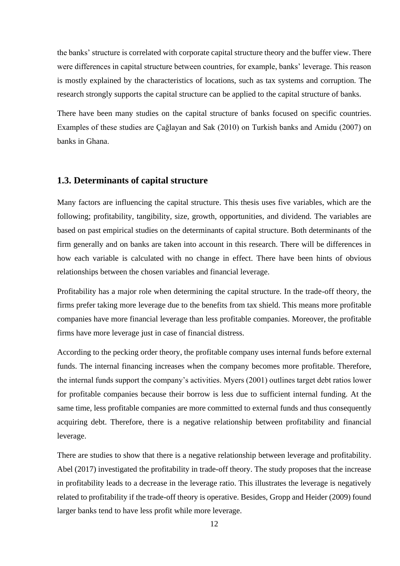the banks' structure is correlated with corporate capital structure theory and the buffer view. There were differences in capital structure between countries, for example, banks' leverage. This reason is mostly explained by the characteristics of locations, such as tax systems and corruption. The research strongly supports the capital structure can be applied to the capital structure of banks.

There have been many studies on the capital structure of banks focused on specific countries. Examples of these studies are Çağlayan and Sak (2010) on Turkish banks and Amidu (2007) on banks in Ghana.

### <span id="page-11-0"></span>**1.3. Determinants of capital structure**

Many factors are influencing the capital structure. This thesis uses five variables, which are the following; profitability, tangibility, size, growth, opportunities, and dividend. The variables are based on past empirical studies on the determinants of capital structure. Both determinants of the firm generally and on banks are taken into account in this research. There will be differences in how each variable is calculated with no change in effect. There have been hints of obvious relationships between the chosen variables and financial leverage.

Profitability has a major role when determining the capital structure. In the trade-off theory, the firms prefer taking more leverage due to the benefits from tax shield. This means more profitable companies have more financial leverage than less profitable companies. Moreover, the profitable firms have more leverage just in case of financial distress.

According to the pecking order theory, the profitable company uses internal funds before external funds. The internal financing increases when the company becomes more profitable. Therefore, the internal funds support the company's activities. Myers (2001) outlines target debt ratios lower for profitable companies because their borrow is less due to sufficient internal funding. At the same time, less profitable companies are more committed to external funds and thus consequently acquiring debt. Therefore, there is a negative relationship between profitability and financial leverage.

There are studies to show that there is a negative relationship between leverage and profitability. Abel (2017) investigated the profitability in trade-off theory. The study proposes that the increase in profitability leads to a decrease in the leverage ratio. This illustrates the leverage is negatively related to profitability if the trade-off theory is operative. Besides, Gropp and Heider (2009) found larger banks tend to have less profit while more leverage.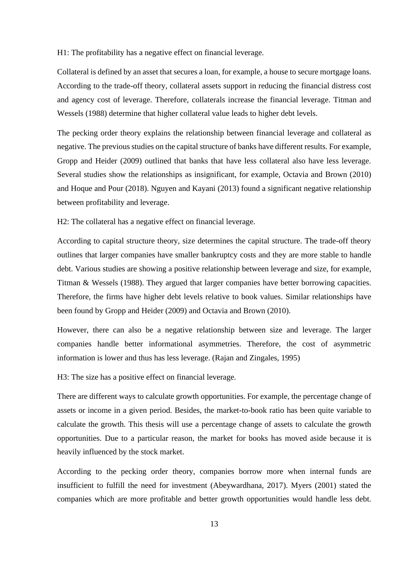H1: The profitability has a negative effect on financial leverage.

Collateral is defined by an asset that secures a loan, for example, a house to secure mortgage loans. According to the trade-off theory, collateral assets support in reducing the financial distress cost and agency cost of leverage. Therefore, collaterals increase the financial leverage. Titman and Wessels (1988) determine that higher collateral value leads to higher debt levels.

The pecking order theory explains the relationship between financial leverage and collateral as negative. The previous studies on the capital structure of banks have different results. For example, Gropp and Heider (2009) outlined that banks that have less collateral also have less leverage. Several studies show the relationships as insignificant, for example, Octavia and Brown (2010) and Hoque and Pour (2018). Nguyen and Kayani (2013) found a significant negative relationship between profitability and leverage.

H2: The collateral has a negative effect on financial leverage.

According to capital structure theory, size determines the capital structure. The trade-off theory outlines that larger companies have smaller bankruptcy costs and they are more stable to handle debt. Various studies are showing a positive relationship between leverage and size, for example, Titman & Wessels (1988). They argued that larger companies have better borrowing capacities. Therefore, the firms have higher debt levels relative to book values. Similar relationships have been found by Gropp and Heider (2009) and Octavia and Brown (2010).

However, there can also be a negative relationship between size and leverage. The larger companies handle better informational asymmetries. Therefore, the cost of asymmetric information is lower and thus has less leverage. (Rajan and Zingales, 1995)

H3: The size has a positive effect on financial leverage.

There are different ways to calculate growth opportunities. For example, the percentage change of assets or income in a given period. Besides, the market-to-book ratio has been quite variable to calculate the growth. This thesis will use a percentage change of assets to calculate the growth opportunities. Due to a particular reason, the market for books has moved aside because it is heavily influenced by the stock market.

According to the pecking order theory, companies borrow more when internal funds are insufficient to fulfill the need for investment (Abeywardhana, 2017). Myers (2001) stated the companies which are more profitable and better growth opportunities would handle less debt.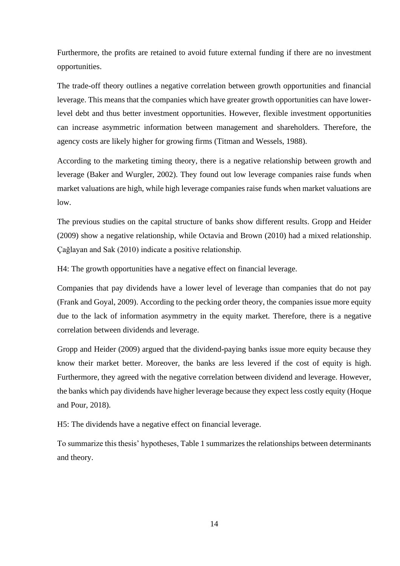Furthermore, the profits are retained to avoid future external funding if there are no investment opportunities.

The trade-off theory outlines a negative correlation between growth opportunities and financial leverage. This means that the companies which have greater growth opportunities can have lowerlevel debt and thus better investment opportunities. However, flexible investment opportunities can increase asymmetric information between management and shareholders. Therefore, the agency costs are likely higher for growing firms (Titman and Wessels, 1988).

According to the marketing timing theory, there is a negative relationship between growth and leverage (Baker and Wurgler, 2002). They found out low leverage companies raise funds when market valuations are high, while high leverage companies raise funds when market valuations are low.

The previous studies on the capital structure of banks show different results. Gropp and Heider (2009) show a negative relationship, while Octavia and Brown (2010) had a mixed relationship. Çağlayan and Sak (2010) indicate a positive relationship.

H4: The growth opportunities have a negative effect on financial leverage.

Companies that pay dividends have a lower level of leverage than companies that do not pay (Frank and Goyal, 2009). According to the pecking order theory, the companies issue more equity due to the lack of information asymmetry in the equity market. Therefore, there is a negative correlation between dividends and leverage.

Gropp and Heider (2009) argued that the dividend-paying banks issue more equity because they know their market better. Moreover, the banks are less levered if the cost of equity is high. Furthermore, they agreed with the negative correlation between dividend and leverage. However, the banks which pay dividends have higher leverage because they expect less costly equity (Hoque and Pour, 2018).

H5: The dividends have a negative effect on financial leverage.

To summarize this thesis' hypotheses, Table 1 summarizes the relationships between determinants and theory.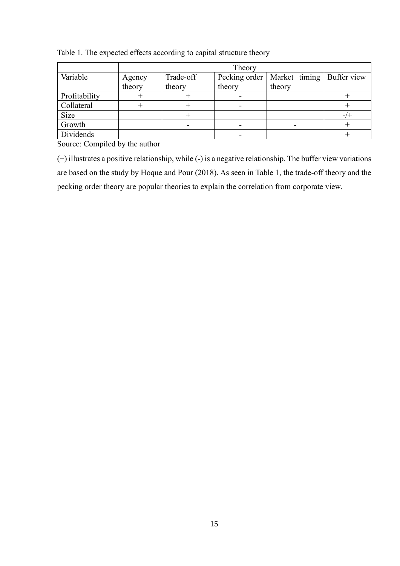|               | Theory |           |               |                             |  |  |
|---------------|--------|-----------|---------------|-----------------------------|--|--|
| Variable      | Agency | Trade-off | Pecking order | Market timing   Buffer view |  |  |
|               | theory | theory    | theory        | theory                      |  |  |
| Profitability |        |           |               |                             |  |  |
| Collateral    |        |           |               |                             |  |  |
| Size          |        |           |               |                             |  |  |
| Growth        |        |           |               |                             |  |  |
| Dividends     |        |           |               |                             |  |  |

Table 1. The expected effects according to capital structure theory

Source: Compiled by the author

(+) illustrates a positive relationship, while (-) is a negative relationship. The buffer view variations are based on the study by Hoque and Pour (2018). As seen in Table 1, the trade-off theory and the pecking order theory are popular theories to explain the correlation from corporate view.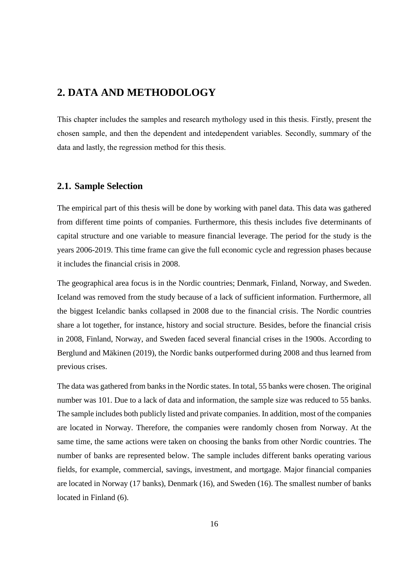# <span id="page-15-0"></span>**2. DATA AND METHODOLOGY**

This chapter includes the samples and research mythology used in this thesis. Firstly, present the chosen sample, and then the dependent and intedependent variables. Secondly, summary of the data and lastly, the regression method for this thesis.

### <span id="page-15-1"></span>**2.1. Sample Selection**

The empirical part of this thesis will be done by working with panel data. This data was gathered from different time points of companies. Furthermore, this thesis includes five determinants of capital structure and one variable to measure financial leverage. The period for the study is the years 2006-2019. This time frame can give the full economic cycle and regression phases because it includes the financial crisis in 2008.

The geographical area focus is in the Nordic countries; Denmark, Finland, Norway, and Sweden. Iceland was removed from the study because of a lack of sufficient information. Furthermore, all the biggest Icelandic banks collapsed in 2008 due to the financial crisis. The Nordic countries share a lot together, for instance, history and social structure. Besides, before the financial crisis in 2008, Finland, Norway, and Sweden faced several financial crises in the 1900s. According to Berglund and Mäkinen (2019), the Nordic banks outperformed during 2008 and thus learned from previous crises.

The data was gathered from banks in the Nordic states. In total, 55 banks were chosen. The original number was 101. Due to a lack of data and information, the sample size was reduced to 55 banks. The sample includes both publicly listed and private companies. In addition, most of the companies are located in Norway. Therefore, the companies were randomly chosen from Norway. At the same time, the same actions were taken on choosing the banks from other Nordic countries. The number of banks are represented below. The sample includes different banks operating various fields, for example, commercial, savings, investment, and mortgage. Major financial companies are located in Norway (17 banks), Denmark (16), and Sweden (16). The smallest number of banks located in Finland (6).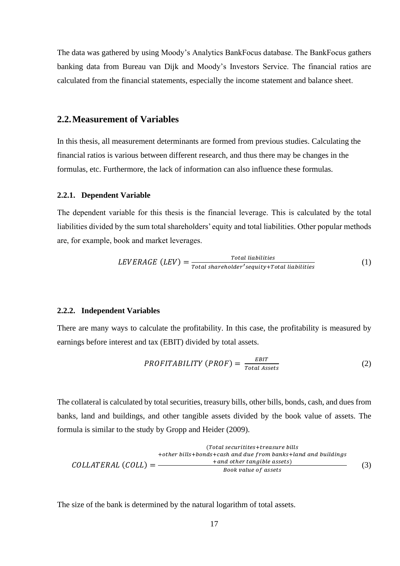The data was gathered by using Moody's Analytics BankFocus database. The BankFocus gathers banking data from Bureau van Dijk and Moody's Investors Service. The financial ratios are calculated from the financial statements, especially the income statement and balance sheet.

#### <span id="page-16-0"></span>**2.2.Measurement of Variables**

In this thesis, all measurement determinants are formed from previous studies. Calculating the financial ratios is various between different research, and thus there may be changes in the formulas, etc. Furthermore, the lack of information can also influence these formulas.

#### <span id="page-16-1"></span>**2.2.1. Dependent Variable**

The dependent variable for this thesis is the financial leverage. This is calculated by the total liabilities divided by the sum total shareholders' equity and total liabilities. Other popular methods are, for example, book and market leverages.

$$
LEVERAGE (LEV) = \frac{Total\ liabilities}{Total\ shear\ holder's equity+Total\ liabilities}
$$
 (1)

#### <span id="page-16-2"></span>**2.2.2. Independent Variables**

There are many ways to calculate the profitability. In this case, the profitability is measured by earnings before interest and tax (EBIT) divided by total assets.

$$
PROFITABILITY (PROF) = \frac{EBIT}{Total Assets}
$$
 (2)

The collateral is calculated by total securities, treasury bills, other bills, bonds, cash, and dues from banks, land and buildings, and other tangible assets divided by the book value of assets. The formula is similar to the study by Gropp and Heider (2009).

\n
$$
Total securities+measure \, \textit{bills}
$$
\n
$$
+other \, \textit{bills}+ bonds + cash \, \textit{and due from banks} + land \, \textit{and buildings}
$$
\n
$$
COLLATERAL (COLL) = \frac{\text{and other tangle assets}}{\text{Book value of assets}}
$$
\n
$$
(3)
$$

The size of the bank is determined by the natural logarithm of total assets.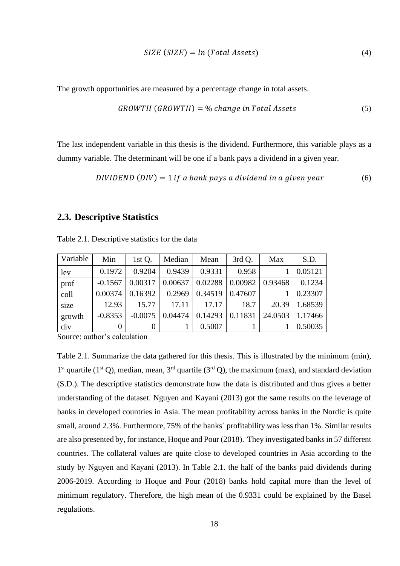$$
SIZE (SIZE) = ln (Total Assets)
$$
\n(4)

The growth opportunities are measured by a percentage change in total assets.

$$
GROWTH (GROWTH) = % change in Total Assets
$$
\n
$$
(5)
$$

The last independent variable in this thesis is the dividend. Furthermore, this variable plays as a dummy variable. The determinant will be one if a bank pays a dividend in a given year.

DIVIDEND  $(DIV) = 1$  if a bank pays a dividend in a given year  $(6)$ 

### <span id="page-17-0"></span>**2.3. Descriptive Statistics**

| Variable | Min       | 1st Q.    | Median  | Mean    | 3rd Q.  | Max     | S.D.    |
|----------|-----------|-----------|---------|---------|---------|---------|---------|
| lev      | 0.1972    | 0.9204    | 0.9439  | 0.9331  | 0.958   |         | 0.05121 |
| prof     | $-0.1567$ | 0.00317   | 0.00637 | 0.02288 | 0.00982 | 0.93468 | 0.1234  |
| coll     | 0.00374   | 0.16392   | 0.2969  | 0.34519 | 0.47607 |         | 0.23307 |
| size     | 12.93     | 15.77     | 17.11   | 17.17   | 18.7    | 20.39   | 1.68539 |
| growth   | $-0.8353$ | $-0.0075$ | 0.04474 | 0.14293 | 0.11831 | 24.0503 | 1.17466 |
| div      | 0         | 0         |         | 0.5007  |         |         | 0.50035 |

Table 2.1. Descriptive statistics for the data

Source: author's calculation

Table 2.1. Summarize the data gathered for this thesis. This is illustrated by the minimum (min), 1<sup>st</sup> quartile (1<sup>st</sup> Q), median, mean, 3<sup>rd</sup> quartile (3<sup>rd</sup> Q), the maximum (max), and standard deviation (S.D.). The descriptive statistics demonstrate how the data is distributed and thus gives a better understanding of the dataset. Nguyen and Kayani (2013) got the same results on the leverage of banks in developed countries in Asia. The mean profitability across banks in the Nordic is quite small, around 2.3%. Furthermore, 75% of the banks´ profitability was less than 1%. Similar results are also presented by, for instance, Hoque and Pour (2018). They investigated banks in 57 different countries. The collateral values are quite close to developed countries in Asia according to the study by Nguyen and Kayani (2013). In Table 2.1. the half of the banks paid dividends during 2006-2019. According to Hoque and Pour (2018) banks hold capital more than the level of minimum regulatory. Therefore, the high mean of the 0.9331 could be explained by the Basel regulations.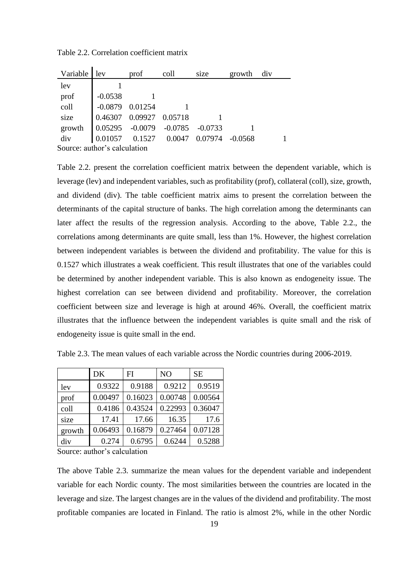| Variable                     | lev       | prof                    | coll                                                                    | size                                      | growth | div |
|------------------------------|-----------|-------------------------|-------------------------------------------------------------------------|-------------------------------------------|--------|-----|
| lev                          |           |                         |                                                                         |                                           |        |     |
| prof                         | $-0.0538$ |                         |                                                                         |                                           |        |     |
| coll                         | $-0.0879$ | 0.01254                 |                                                                         |                                           |        |     |
| size                         |           | 0.46307 0.09927 0.05718 |                                                                         |                                           |        |     |
| growth                       |           |                         | $\begin{array}{cccc} 0.05295 & -0.0079 & -0.0785 & -0.0733 \end{array}$ |                                           |        |     |
| div                          |           |                         |                                                                         | 0.01057  0.1527  0.0047  0.07974  -0.0568 |        |     |
| Source: author's calculation |           |                         |                                                                         |                                           |        |     |

Table 2.2. Correlation coefficient matrix

Table 2.2. present the correlation coefficient matrix between the dependent variable, which is leverage (lev) and independent variables, such as profitability (prof), collateral (coll), size, growth, and dividend (div). The table coefficient matrix aims to present the correlation between the determinants of the capital structure of banks. The high correlation among the determinants can later affect the results of the regression analysis. According to the above, Table 2.2., the correlations among determinants are quite small, less than 1%. However, the highest correlation between independent variables is between the dividend and profitability. The value for this is 0.1527 which illustrates a weak coefficient. This result illustrates that one of the variables could be determined by another independent variable. This is also known as endogeneity issue. The highest correlation can see between dividend and profitability. Moreover, the correlation coefficient between size and leverage is high at around 46%. Overall, the coefficient matrix illustrates that the influence between the independent variables is quite small and the risk of endogeneity issue is quite small in the end.

|        | <b>DK</b> | FI      | N <sub>O</sub> | <b>SE</b> |
|--------|-----------|---------|----------------|-----------|
| lev    | 0.9322    | 0.9188  | 0.9212         | 0.9519    |
| prof   | 0.00497   | 0.16023 | 0.00748        | 0.00564   |
| coll   | 0.4186    | 0.43524 | 0.22993        | 0.36047   |
| size   | 17.41     | 17.66   | 16.35          | 17.6      |
| growth | 0.06493   | 0.16879 | 0.27464        | 0.07128   |
| div    | 0.274     | 0.6795  | 0.6244         | 0.5288    |

Table 2.3. The mean values of each variable across the Nordic countries during 2006-2019.

Source: author's calculation

The above Table 2.3. summarize the mean values for the dependent variable and independent variable for each Nordic county. The most similarities between the countries are located in the leverage and size. The largest changes are in the values of the dividend and profitability. The most profitable companies are located in Finland. The ratio is almost 2%, while in the other Nordic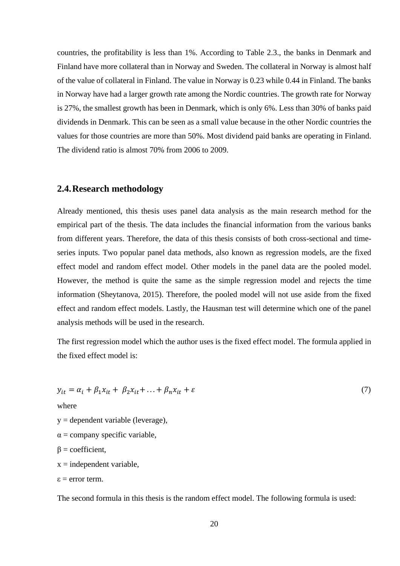countries, the profitability is less than 1%. According to Table 2.3., the banks in Denmark and Finland have more collateral than in Norway and Sweden. The collateral in Norway is almost half of the value of collateral in Finland. The value in Norway is 0.23 while 0.44 in Finland. The banks in Norway have had a larger growth rate among the Nordic countries. The growth rate for Norway is 27%, the smallest growth has been in Denmark, which is only 6%. Less than 30% of banks paid dividends in Denmark. This can be seen as a small value because in the other Nordic countries the values for those countries are more than 50%. Most dividend paid banks are operating in Finland. The dividend ratio is almost 70% from 2006 to 2009.

### <span id="page-19-0"></span>**2.4.Research methodology**

Already mentioned, this thesis uses panel data analysis as the main research method for the empirical part of the thesis. The data includes the financial information from the various banks from different years. Therefore, the data of this thesis consists of both cross-sectional and timeseries inputs. Two popular panel data methods, also known as regression models, are the fixed effect model and random effect model. Other models in the panel data are the pooled model. However, the method is quite the same as the simple regression model and rejects the time information (Sheytanova, 2015). Therefore, the pooled model will not use aside from the fixed effect and random effect models. Lastly, the Hausman test will determine which one of the panel analysis methods will be used in the research.

The first regression model which the author uses is the fixed effect model. The formula applied in the fixed effect model is:

$$
y_{it} = \alpha_i + \beta_1 x_{it} + \beta_2 x_{it} + \ldots + \beta_n x_{it} + \varepsilon
$$
\nwhere

\n
$$
y =
$$
 dependent variable (leverage),\n
$$
\alpha =
$$
 company specific variable,\n
$$
\beta =
$$
 coefficient,\n
$$
x =
$$
 independent variable,\n
$$
\varepsilon =
$$
error term.\nThe second formula in this thesis is the random effect model. The following formula is used: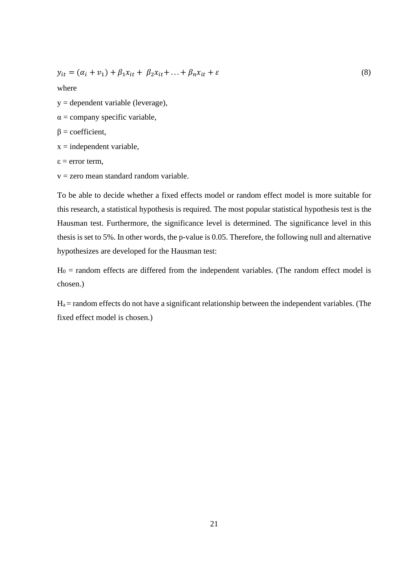$$
y_{it} = (\alpha_i + v_1) + \beta_1 x_{it} + \beta_2 x_{it} + ... + \beta_n x_{it} + \varepsilon
$$
\n(8)

where

 $y =$  dependent variable (leverage),

 $\alpha$  = company specific variable,

 $β = coefficient,$ 

 $x =$  independent variable,

 $\varepsilon$  = error term.

 $v =$ zero mean standard random variable.

To be able to decide whether a fixed effects model or random effect model is more suitable for this research, a statistical hypothesis is required. The most popular statistical hypothesis test is the Hausman test. Furthermore, the significance level is determined. The significance level in this thesis is set to 5%. In other words, the p-value is 0.05. Therefore, the following null and alternative hypothesizes are developed for the Hausman test:

 $H_0$  = random effects are differed from the independent variables. (The random effect model is chosen.)

 $H_a$  = random effects do not have a significant relationship between the independent variables. (The fixed effect model is chosen.)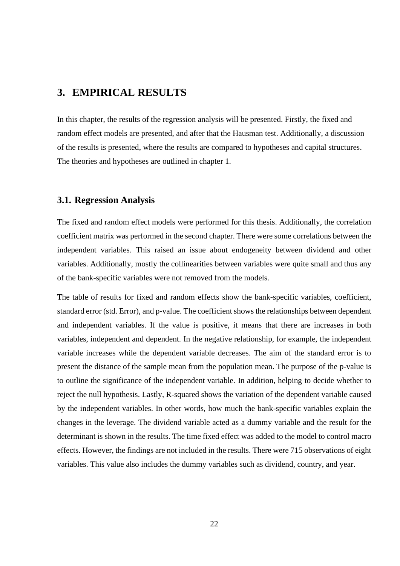# <span id="page-21-0"></span>**3. EMPIRICAL RESULTS**

In this chapter, the results of the regression analysis will be presented. Firstly, the fixed and random effect models are presented, and after that the Hausman test. Additionally, a discussion of the results is presented, where the results are compared to hypotheses and capital structures. The theories and hypotheses are outlined in chapter 1.

### <span id="page-21-1"></span>**3.1. Regression Analysis**

The fixed and random effect models were performed for this thesis. Additionally, the correlation coefficient matrix was performed in the second chapter. There were some correlations between the independent variables. This raised an issue about endogeneity between dividend and other variables. Additionally, mostly the collinearities between variables were quite small and thus any of the bank-specific variables were not removed from the models.

The table of results for fixed and random effects show the bank-specific variables, coefficient, standard error (std. Error), and p-value. The coefficient shows the relationships between dependent and independent variables. If the value is positive, it means that there are increases in both variables, independent and dependent. In the negative relationship, for example, the independent variable increases while the dependent variable decreases. The aim of the standard error is to present the distance of the sample mean from the population mean. The purpose of the p-value is to outline the significance of the independent variable. In addition, helping to decide whether to reject the null hypothesis. Lastly, R-squared shows the variation of the dependent variable caused by the independent variables. In other words, how much the bank-specific variables explain the changes in the leverage. The dividend variable acted as a dummy variable and the result for the determinant is shown in the results. The time fixed effect was added to the model to control macro effects. However, the findings are not included in the results. There were 715 observations of eight variables. This value also includes the dummy variables such as dividend, country, and year.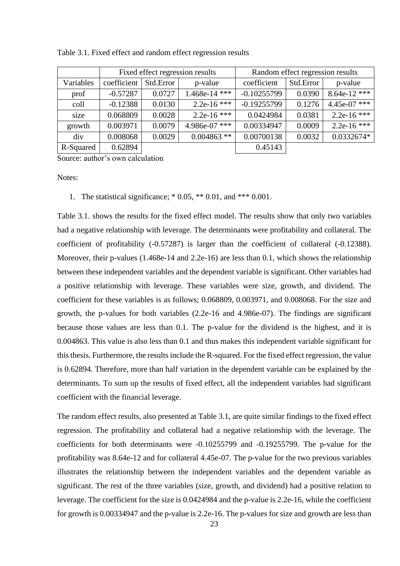|           | Fixed effect regression results |           |                 | Random effect regression results |           |                |
|-----------|---------------------------------|-----------|-----------------|----------------------------------|-----------|----------------|
| Variables | coefficient                     | Std.Error | p-value         | coefficient                      | Std.Error | p-value        |
| prof      | $-0.57287$                      | 0.0727    | $1.468e-14$ *** | $-0.10255799$                    | 0.0390    | $8.64e-12$ *** |
| coll      | $-0.12388$                      | 0.0130    | 2.2e-16 ***     | $-0.19255799$                    | 0.1276    | $4.45e-07$ *** |
| size      | 0.068809                        | 0.0028    | 2.2e-16 ***     | 0.0424984                        | 0.0381    | 2.2e-16 ***    |
| growth    | 0.003971                        | 0.0079    | 4.986e-07 ***   | 0.00334947                       | 0.0009    | 2.2e-16 ***    |
| div       | 0.008068                        | 0.0029    | $0.004863$ **   | 0.00700138                       | 0.0032    | 0.0332674*     |
| R-Squared | 0.62894                         |           |                 | 0.45143                          |           |                |

Table 3.1. Fixed effect and random effect regression results

Source: author's own calculation

Notes:

1. The statistical significance; \* 0.05, \*\* 0.01, and \*\*\* 0.001.

Table 3.1. shows the results for the fixed effect model. The results show that only two variables had a negative relationship with leverage. The determinants were profitability and collateral. The coefficient of profitability (-0.57287) is larger than the coefficient of collateral (-0.12388). Moreover, their p-values (1.468e-14 and 2.2e-16) are less than 0.1, which shows the relationship between these independent variables and the dependent variable is significant. Other variables had a positive relationship with leverage. These variables were size, growth, and dividend. The coefficient for these variables is as follows; 0.068809, 0.003971, and 0.008068. For the size and growth, the p-values for both variables (2.2e-16 and 4.986e-07). The findings are significant because those values are less than 0.1. The p-value for the dividend is the highest, and it is 0.004863. This value is also less than 0.1 and thus makes this independent variable significant for this thesis. Furthermore, the results include the R-squared. For the fixed effect regression, the value is 0.62894. Therefore, more than half variation in the dependent variable can be explained by the determinants. To sum up the results of fixed effect, all the independent variables had significant coefficient with the financial leverage.

The random effect results, also presented at Table 3.1, are quite similar findings to the fixed effect regression. The profitability and collateral had a negative relationship with the leverage. The coefficients for both determinants were -0.10255799 and -0.19255799. The p-value for the profitability was 8.64e-12 and for collateral 4.45e-07. The p-value for the two previous variables illustrates the relationship between the independent variables and the dependent variable as significant. The rest of the three variables (size, growth, and dividend) had a positive relation to leverage. The coefficient for the size is 0.0424984 and the p-value is 2.2e-16, while the coefficient for growth is 0.00334947 and the p-value is 2.2e-16. The p-values for size and growth are less than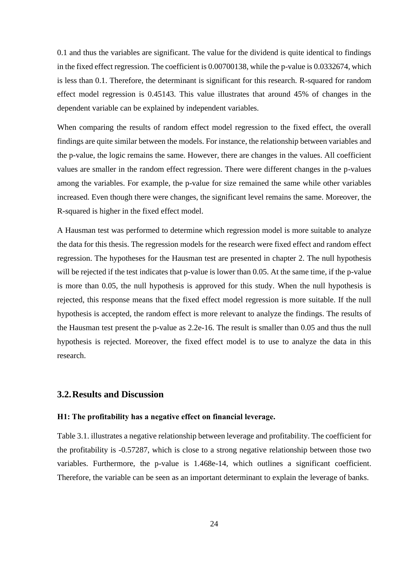0.1 and thus the variables are significant. The value for the dividend is quite identical to findings in the fixed effect regression. The coefficient is 0.00700138, while the p-value is 0.0332674, which is less than 0.1. Therefore, the determinant is significant for this research. R-squared for random effect model regression is 0.45143. This value illustrates that around 45% of changes in the dependent variable can be explained by independent variables.

When comparing the results of random effect model regression to the fixed effect, the overall findings are quite similar between the models. For instance, the relationship between variables and the p-value, the logic remains the same. However, there are changes in the values. All coefficient values are smaller in the random effect regression. There were different changes in the p-values among the variables. For example, the p-value for size remained the same while other variables increased. Even though there were changes, the significant level remains the same. Moreover, the R-squared is higher in the fixed effect model.

A Hausman test was performed to determine which regression model is more suitable to analyze the data for this thesis. The regression models for the research were fixed effect and random effect regression. The hypotheses for the Hausman test are presented in chapter 2. The null hypothesis will be rejected if the test indicates that p-value is lower than 0.05. At the same time, if the p-value is more than 0.05, the null hypothesis is approved for this study. When the null hypothesis is rejected, this response means that the fixed effect model regression is more suitable. If the null hypothesis is accepted, the random effect is more relevant to analyze the findings. The results of the Hausman test present the p-value as 2.2e-16. The result is smaller than 0.05 and thus the null hypothesis is rejected. Moreover, the fixed effect model is to use to analyze the data in this research.

### <span id="page-23-0"></span>**3.2.Results and Discussion**

#### **H1: The profitability has a negative effect on financial leverage.**

Table 3.1. illustrates a negative relationship between leverage and profitability. The coefficient for the profitability is -0.57287, which is close to a strong negative relationship between those two variables. Furthermore, the p-value is 1.468e-14, which outlines a significant coefficient. Therefore, the variable can be seen as an important determinant to explain the leverage of banks.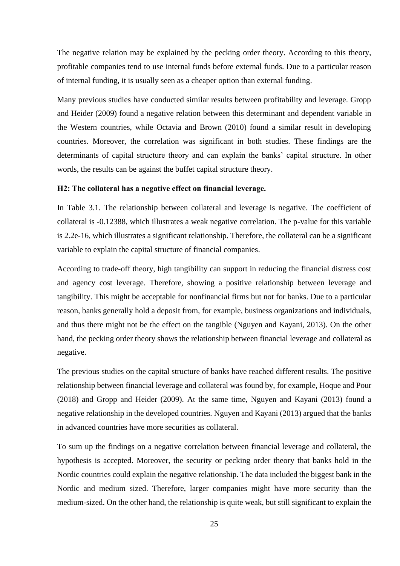The negative relation may be explained by the pecking order theory. According to this theory, profitable companies tend to use internal funds before external funds. Due to a particular reason of internal funding, it is usually seen as a cheaper option than external funding.

Many previous studies have conducted similar results between profitability and leverage. Gropp and Heider (2009) found a negative relation between this determinant and dependent variable in the Western countries, while Octavia and Brown (2010) found a similar result in developing countries. Moreover, the correlation was significant in both studies. These findings are the determinants of capital structure theory and can explain the banks' capital structure. In other words, the results can be against the buffet capital structure theory.

#### **H2: The collateral has a negative effect on financial leverage.**

In Table 3.1. The relationship between collateral and leverage is negative. The coefficient of collateral is -0.12388, which illustrates a weak negative correlation. The p-value for this variable is 2.2e-16, which illustrates a significant relationship. Therefore, the collateral can be a significant variable to explain the capital structure of financial companies.

According to trade-off theory, high tangibility can support in reducing the financial distress cost and agency cost leverage. Therefore, showing a positive relationship between leverage and tangibility. This might be acceptable for nonfinancial firms but not for banks. Due to a particular reason, banks generally hold a deposit from, for example, business organizations and individuals, and thus there might not be the effect on the tangible (Nguyen and Kayani, 2013). On the other hand, the pecking order theory shows the relationship between financial leverage and collateral as negative.

The previous studies on the capital structure of banks have reached different results. The positive relationship between financial leverage and collateral was found by, for example, Hoque and Pour (2018) and Gropp and Heider (2009). At the same time, Nguyen and Kayani (2013) found a negative relationship in the developed countries. Nguyen and Kayani (2013) argued that the banks in advanced countries have more securities as collateral.

To sum up the findings on a negative correlation between financial leverage and collateral, the hypothesis is accepted. Moreover, the security or pecking order theory that banks hold in the Nordic countries could explain the negative relationship. The data included the biggest bank in the Nordic and medium sized. Therefore, larger companies might have more security than the medium-sized. On the other hand, the relationship is quite weak, but still significant to explain the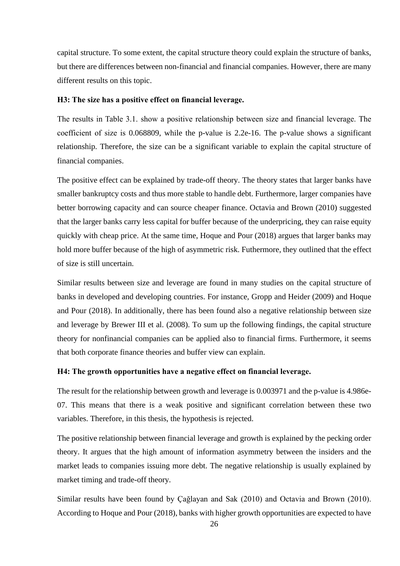capital structure. To some extent, the capital structure theory could explain the structure of banks, but there are differences between non-financial and financial companies. However, there are many different results on this topic.

#### **H3: The size has a positive effect on financial leverage.**

The results in Table 3.1. show a positive relationship between size and financial leverage. The coefficient of size is 0.068809, while the p-value is 2.2e-16. The p-value shows a significant relationship. Therefore, the size can be a significant variable to explain the capital structure of financial companies.

The positive effect can be explained by trade-off theory. The theory states that larger banks have smaller bankruptcy costs and thus more stable to handle debt. Furthermore, larger companies have better borrowing capacity and can source cheaper finance. Octavia and Brown (2010) suggested that the larger banks carry less capital for buffer because of the underpricing, they can raise equity quickly with cheap price. At the same time, Hoque and Pour (2018) argues that larger banks may hold more buffer because of the high of asymmetric risk. Futhermore, they outlined that the effect of size is still uncertain.

Similar results between size and leverage are found in many studies on the capital structure of banks in developed and developing countries. For instance, Gropp and Heider (2009) and Hoque and Pour (2018). In additionally, there has been found also a negative relationship between size and leverage by Brewer III et al. (2008). To sum up the following findings, the capital structure theory for nonfinancial companies can be applied also to financial firms. Furthermore, it seems that both corporate finance theories and buffer view can explain.

#### **H4: The growth opportunities have a negative effect on financial leverage.**

The result for the relationship between growth and leverage is 0.003971 and the p-value is 4.986e-07. This means that there is a weak positive and significant correlation between these two variables. Therefore, in this thesis, the hypothesis is rejected.

The positive relationship between financial leverage and growth is explained by the pecking order theory. It argues that the high amount of information asymmetry between the insiders and the market leads to companies issuing more debt. The negative relationship is usually explained by market timing and trade-off theory.

Similar results have been found by Çağlayan and Sak (2010) and Octavia and Brown (2010). According to Hoque and Pour (2018), banks with higher growth opportunities are expected to have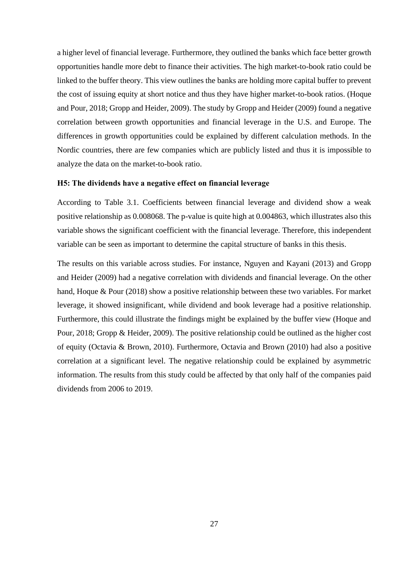a higher level of financial leverage. Furthermore, they outlined the banks which face better growth opportunities handle more debt to finance their activities. The high market-to-book ratio could be linked to the buffer theory. This view outlines the banks are holding more capital buffer to prevent the cost of issuing equity at short notice and thus they have higher market-to-book ratios. (Hoque and Pour, 2018; Gropp and Heider, 2009). The study by Gropp and Heider (2009) found a negative correlation between growth opportunities and financial leverage in the U.S. and Europe. The differences in growth opportunities could be explained by different calculation methods. In the Nordic countries, there are few companies which are publicly listed and thus it is impossible to analyze the data on the market-to-book ratio.

#### **H5: The dividends have a negative effect on financial leverage**

According to Table 3.1. Coefficients between financial leverage and dividend show a weak positive relationship as 0.008068. The p-value is quite high at 0.004863, which illustrates also this variable shows the significant coefficient with the financial leverage. Therefore, this independent variable can be seen as important to determine the capital structure of banks in this thesis.

The results on this variable across studies. For instance, Nguyen and Kayani (2013) and Gropp and Heider (2009) had a negative correlation with dividends and financial leverage. On the other hand, Hoque & Pour (2018) show a positive relationship between these two variables. For market leverage, it showed insignificant, while dividend and book leverage had a positive relationship. Furthermore, this could illustrate the findings might be explained by the buffer view (Hoque and Pour, 2018; Gropp & Heider, 2009). The positive relationship could be outlined as the higher cost of equity (Octavia & Brown, 2010). Furthermore, Octavia and Brown (2010) had also a positive correlation at a significant level. The negative relationship could be explained by asymmetric information. The results from this study could be affected by that only half of the companies paid dividends from 2006 to 2019.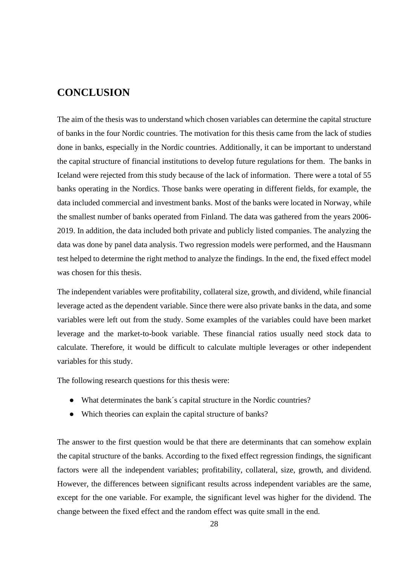# <span id="page-27-0"></span>**CONCLUSION**

The aim of the thesis was to understand which chosen variables can determine the capital structure of banks in the four Nordic countries. The motivation for this thesis came from the lack of studies done in banks, especially in the Nordic countries. Additionally, it can be important to understand the capital structure of financial institutions to develop future regulations for them. The banks in Iceland were rejected from this study because of the lack of information. There were a total of 55 banks operating in the Nordics. Those banks were operating in different fields, for example, the data included commercial and investment banks. Most of the banks were located in Norway, while the smallest number of banks operated from Finland. The data was gathered from the years 2006- 2019. In addition, the data included both private and publicly listed companies. The analyzing the data was done by panel data analysis. Two regression models were performed, and the Hausmann test helped to determine the right method to analyze the findings. In the end, the fixed effect model was chosen for this thesis.

The independent variables were profitability, collateral size, growth, and dividend, while financial leverage acted as the dependent variable. Since there were also private banks in the data, and some variables were left out from the study. Some examples of the variables could have been market leverage and the market-to-book variable. These financial ratios usually need stock data to calculate. Therefore, it would be difficult to calculate multiple leverages or other independent variables for this study.

The following research questions for this thesis were:

- What determinates the bank´s capital structure in the Nordic countries?
- Which theories can explain the capital structure of banks?

The answer to the first question would be that there are determinants that can somehow explain the capital structure of the banks. According to the fixed effect regression findings, the significant factors were all the independent variables; profitability, collateral, size, growth, and dividend. However, the differences between significant results across independent variables are the same, except for the one variable. For example, the significant level was higher for the dividend. The change between the fixed effect and the random effect was quite small in the end.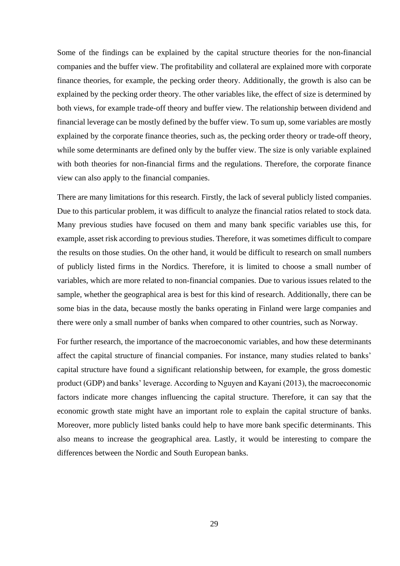Some of the findings can be explained by the capital structure theories for the non-financial companies and the buffer view. The profitability and collateral are explained more with corporate finance theories, for example, the pecking order theory. Additionally, the growth is also can be explained by the pecking order theory. The other variables like, the effect of size is determined by both views, for example trade-off theory and buffer view. The relationship between dividend and financial leverage can be mostly defined by the buffer view. To sum up, some variables are mostly explained by the corporate finance theories, such as, the pecking order theory or trade-off theory, while some determinants are defined only by the buffer view. The size is only variable explained with both theories for non-financial firms and the regulations. Therefore, the corporate finance view can also apply to the financial companies.

There are many limitations for this research. Firstly, the lack of several publicly listed companies. Due to this particular problem, it was difficult to analyze the financial ratios related to stock data. Many previous studies have focused on them and many bank specific variables use this, for example, asset risk according to previous studies. Therefore, it was sometimes difficult to compare the results on those studies. On the other hand, it would be difficult to research on small numbers of publicly listed firms in the Nordics. Therefore, it is limited to choose a small number of variables, which are more related to non-financial companies. Due to various issues related to the sample, whether the geographical area is best for this kind of research. Additionally, there can be some bias in the data, because mostly the banks operating in Finland were large companies and there were only a small number of banks when compared to other countries, such as Norway.

For further research, the importance of the macroeconomic variables, and how these determinants affect the capital structure of financial companies. For instance, many studies related to banks' capital structure have found a significant relationship between, for example, the gross domestic product (GDP) and banks' leverage. According to Nguyen and Kayani (2013), the macroeconomic factors indicate more changes influencing the capital structure. Therefore, it can say that the economic growth state might have an important role to explain the capital structure of banks. Moreover, more publicly listed banks could help to have more bank specific determinants. This also means to increase the geographical area. Lastly, it would be interesting to compare the differences between the Nordic and South European banks.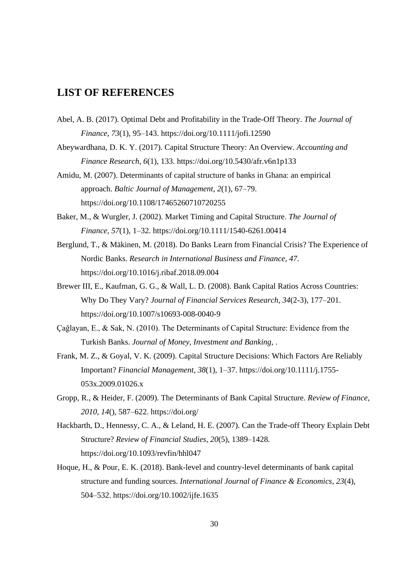# <span id="page-29-0"></span>**LIST OF REFERENCES**

- Abel, A. B. (2017). Optimal Debt and Profitability in the Trade-Off Theory. *The Journal of Finance*, *73*(1), 95–143. https://doi.org/10.1111/jofi.12590
- Abeywardhana, D. K. Y. (2017). Capital Structure Theory: An Overview. *Accounting and Finance Research*, *6*(1), 133. https://doi.org/10.5430/afr.v6n1p133
- Amidu, M. (2007). Determinants of capital structure of banks in Ghana: an empirical approach. *Baltic Journal of Management*, *2*(1), 67–79. https://doi.org/10.1108/17465260710720255
- Baker, M., & Wurgler, J. (2002). Market Timing and Capital Structure. *The Journal of Finance*, *57*(1), 1–32. https://doi.org/10.1111/1540-6261.00414
- Berglund, T., & Mäkinen, M. (2018). Do Banks Learn from Financial Crisis? The Experience of Nordic Banks. *Research in International Business and Finance*, *47*. https://doi.org/10.1016/j.ribaf.2018.09.004
- Brewer III, E., Kaufman, G. G., & Wall, L. D. (2008). Bank Capital Ratios Across Countries: Why Do They Vary? *Journal of Financial Services Research*, *34*(2-3), 177–201. https://doi.org/10.1007/s10693-008-0040-9
- Çağlayan, E., & Sak, N. (2010). The Determinants of Capital Structure: Evidence from the Turkish Banks. *Journal of Money, Investment and Banking*, .
- Frank, M. Z., & Goyal, V. K. (2009). Capital Structure Decisions: Which Factors Are Reliably Important? *Financial Management*, *38*(1), 1–37. https://doi.org/10.1111/j.1755- 053x.2009.01026.x
- Gropp, R., & Heider, F. (2009). The Determinants of Bank Capital Structure. *Review of Finance, 2010*, *14*(), 587–622. https://doi.org/
- Hackbarth, D., Hennessy, C. A., & Leland, H. E. (2007). Can the Trade-off Theory Explain Debt Structure? *Review of Financial Studies*, *20*(5), 1389–1428. https://doi.org/10.1093/revfin/hhl047
- Hoque, H., & Pour, E. K. (2018). Bank-level and country-level determinants of bank capital structure and funding sources. *International Journal of Finance & Economics*, *23*(4), 504–532. https://doi.org/10.1002/ijfe.1635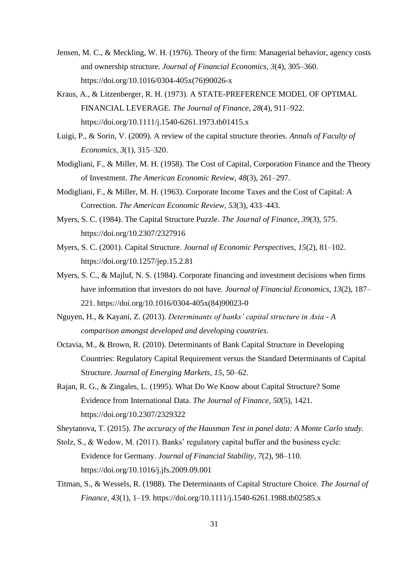- Jensen, M. C., & Meckling, W. H. (1976). Theory of the firm: Managerial behavior, agency costs and ownership structure. *Journal of Financial Economics*, *3*(4), 305–360. https://doi.org/10.1016/0304-405x(76)90026-x
- Kraus, A., & Litzenberger, R. H. (1973). A STATE-PREFERENCE MODEL OF OPTIMAL FINANCIAL LEVERAGE. *The Journal of Finance*, *28*(4), 911–922. https://doi.org/10.1111/j.1540-6261.1973.tb01415.x
- Luigi, P., & Sorin, V. (2009). A review of the capital structure theories. *Annals of Faculty of Economics, 3*(1), 315–320.
- Modigliani, F., & Miller, M. H. (1958). The Cost of Capital, Corporation Finance and the Theory of Investment. *The American Economic Review*, *48*(3), 261–297.
- Modigliani, F., & Miller, M. H. (1963). Corporate Income Taxes and the Cost of Capital: A Correction. *The American Economic Review*, *53*(3), 433–443.
- Myers, S. C. (1984). The Capital Structure Puzzle. *The Journal of Finance*, *39*(3), 575. https://doi.org/10.2307/2327916
- Myers, S. C. (2001). Capital Structure. *Journal of Economic Perspectives*, *15*(2), 81–102. https://doi.org/10.1257/jep.15.2.81
- Myers, S. C., & Majluf, N. S. (1984). Corporate financing and investment decisions when firms have information that investors do not have. *Journal of Financial Economics*, *13*(2), 187– 221. https://doi.org/10.1016/0304-405x(84)90023-0
- Nguyen, H., & Kayani, Z. (2013). *Determinants of banks' capital structure in Asia - A comparison amongst developed and developing countries*.
- Octavia, M., & Brown, R. (2010). Determinants of Bank Capital Structure in Developing Countries: Regulatory Capital Requirement versus the Standard Determinants of Capital Structure. *Journal of Emerging Markets*, *15*, 50–62.
- Rajan, R. G., & Zingales, L. (1995). What Do We Know about Capital Structure? Some Evidence from International Data. *The Journal of Finance*, *50*(5), 1421. https://doi.org/10.2307/2329322
- Sheytanova, T. (2015). *The accuracy of the Hausman Test in panel data: A Monte Carlo study.*
- Stolz, S., & Wedow, M. (2011). Banks' regulatory capital buffer and the business cycle: Evidence for Germany. *Journal of Financial Stability*, *7*(2), 98–110. https://doi.org/10.1016/j.jfs.2009.09.001
- Titman, S., & Wessels, R. (1988). The Determinants of Capital Structure Choice. *The Journal of Finance*, *43*(1), 1–19. https://doi.org/10.1111/j.1540-6261.1988.tb02585.x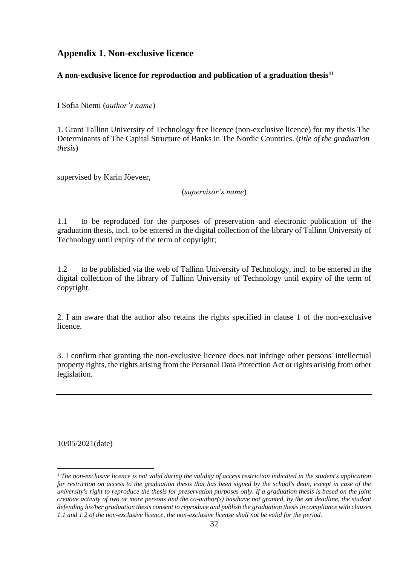## <span id="page-31-0"></span>**Appendix 1. Non-exclusive licence**

### **A non-exclusive licence for reproduction and publication of a graduation thesis<sup>11</sup>**

I Sofia Niemi (*author's name*)

1. Grant Tallinn University of Technology free licence (non-exclusive licence) for my thesis The Determinants of The Capital Structure of Banks in The Nordic Countries. (*title of the graduation thesis*)

supervised by Karin Jõeveer,

(*supervisor's name*)

1.1 to be reproduced for the purposes of preservation and electronic publication of the graduation thesis, incl. to be entered in the digital collection of the library of Tallinn University of Technology until expiry of the term of copyright;

1.2 to be published via the web of Tallinn University of Technology, incl. to be entered in the digital collection of the library of Tallinn University of Technology until expiry of the term of copyright.

2. I am aware that the author also retains the rights specified in clause 1 of the non-exclusive licence.

3. I confirm that granting the non-exclusive licence does not infringe other persons' intellectual property rights, the rights arising from the Personal Data Protection Act or rights arising from other legislation.

10/05/2021(date)

<sup>1</sup> *The non-exclusive licence is not valid during the validity of access restriction indicated in the student's application for restriction on access to the graduation thesis that has been signed by the school's dean, except in case of the university's right to reproduce the thesis for preservation purposes only. If a graduation thesis is based on the joint creative activity of two or more persons and the co-author(s) has/have not granted, by the set deadline, the student defending his/her graduation thesis consent to reproduce and publish the graduation thesis in compliance with clauses 1.1 and 1.2 of the non-exclusive licence, the non-exclusive license shall not be valid for the period.*